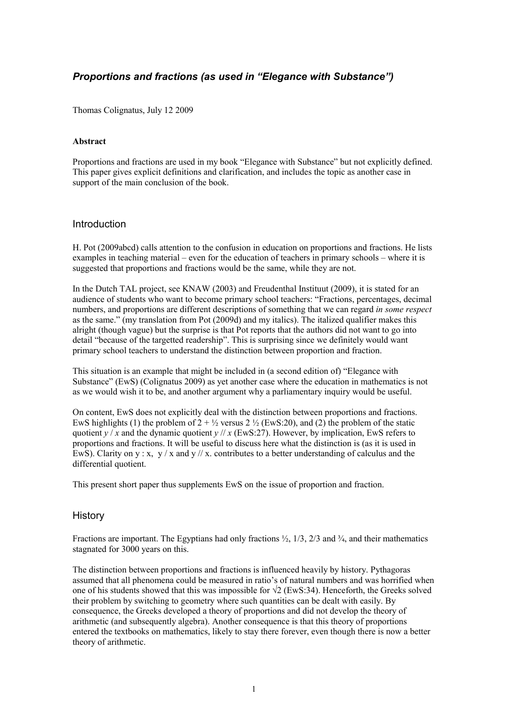# *Proportions and fractions (as used in "Elegance with Substance")*

Thomas Colignatus, July 12 2009

#### **Abstract**

Proportions and fractions are used in my book "Elegance with Substance" but not explicitly defined. This paper gives explicit definitions and clarification, and includes the topic as another case in support of the main conclusion of the book.

#### Introduction

H. Pot (2009abcd) calls attention to the confusion in education on proportions and fractions. He lists examples in teaching material – even for the education of teachers in primary schools – where it is suggested that proportions and fractions would be the same, while they are not.

In the Dutch TAL project, see KNAW (2003) and Freudenthal Instituut (2009), it is stated for an audience of students who want to become primary school teachers: "Fractions, percentages, decimal numbers, and proportions are different descriptions of something that we can regard *in some respect* as the same." (my translation from Pot (2009d) and my italics). The italized qualifier makes this alright (though vague) but the surprise is that Pot reports that the authors did not want to go into detail "because of the targetted readership". This is surprising since we definitely would want primary school teachers to understand the distinction between proportion and fraction.

This situation is an example that might be included in (a second edition of) "Elegance with Substance" (EwS) (Colignatus 2009) as yet another case where the education in mathematics is not as we would wish it to be, and another argument why a parliamentary inquiry would be useful.

On content, EwS does not explicitly deal with the distinction between proportions and fractions. EwS highlights (1) the problem of  $2 + \frac{1}{2}$  versus 2  $\frac{1}{2}$  (EwS:20), and (2) the problem of the static quotient  $y/x$  and the dynamic quotient  $y/x$  (EwS:27). However, by implication, EwS refers to proportions and fractions. It will be useful to discuss here what the distinction is (as it is used in EwS). Clarity on y: x, y / x and y // x. contributes to a better understanding of calculus and the differential quotient.

This present short paper thus supplements EwS on the issue of proportion and fraction.

### **History**

Fractions are important. The Egyptians had only fractions  $\frac{1}{2}$ , 1/3, 2/3 and  $\frac{3}{4}$ , and their mathematics stagnated for 3000 years on this.

The distinction between proportions and fractions is influenced heavily by history. Pythagoras assumed that all phenomena could be measured in ratio's of natural numbers and was horrified when one of his students showed that this was impossible for  $\sqrt{2}$  (EwS:34). Henceforth, the Greeks solved their problem by switching to geometry where such quantities can be dealt with easily. By consequence, the Greeks developed a theory of proportions and did not develop the theory of arithmetic (and subsequently algebra). Another consequence is that this theory of proportions entered the textbooks on mathematics, likely to stay there forever, even though there is now a better theory of arithmetic.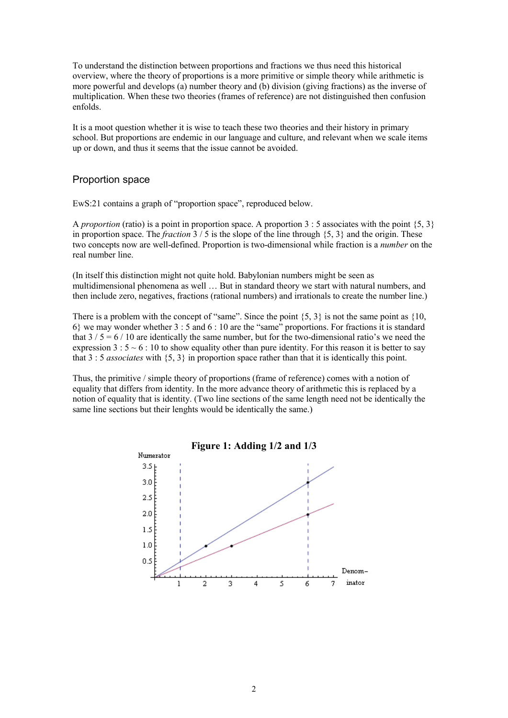To understand the distinction between proportions and fractions we thus need this historical overview, where the theory of proportions is a more primitive or simple theory while arithmetic is more powerful and develops (a) number theory and (b) division (giving fractions) as the inverse of multiplication. When these two theories (frames of reference) are not distinguished then confusion enfolds.

It is a moot question whether it is wise to teach these two theories and their history in primary school. But proportions are endemic in our language and culture, and relevant when we scale items up or down, and thus it seems that the issue cannot be avoided.

### Proportion space

EwS:21 contains a graph of "proportion space", reproduced below.

A *proportion* (ratio) is a point in proportion space. A proportion 3 : 5 associates with the point  $\{5, 3\}$ in proportion space. The *fraction*  $3/5$  is the slope of the line through  $\{5, 3\}$  and the origin. These two concepts now are well-defined. Proportion is two-dimensional while fraction is a *number* on the real number line.

(In itself this distinction might not quite hold. Babylonian numbers might be seen as multidimensional phenomena as well … But in standard theory we start with natural numbers, and then include zero, negatives, fractions (rational numbers) and irrationals to create the number line.)

There is a problem with the concept of "same". Since the point  $\{5, 3\}$  is not the same point as  $\{10, \ldots, 10\}$ 6} we may wonder whether 3 : 5 and 6 : 10 are the "same" proportions. For fractions it is standard that  $3/5 = 6/10$  are identically the same number, but for the two-dimensional ratio's we need the expression 3 :  $5 \sim 6$  : 10 to show equality other than pure identity. For this reason it is better to say that 3 : 5 *associates* with {5, 3} in proportion space rather than that it is identically this point.

Thus, the primitive / simple theory of proportions (frame of reference) comes with a notion of equality that differs from identity. In the more advance theory of arithmetic this is replaced by a notion of equality that is identity. (Two line sections of the same length need not be identically the same line sections but their lenghts would be identically the same.)

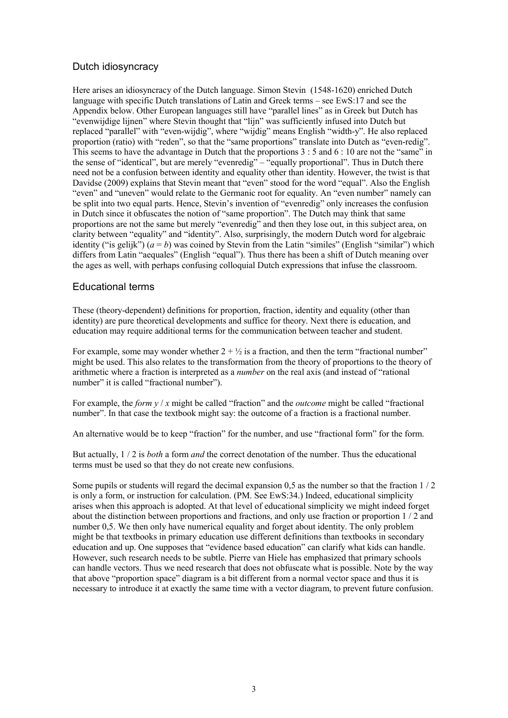# Dutch idiosyncracy

Here arises an idiosyncracy of the Dutch language. Simon Stevin (1548-1620) enriched Dutch language with specific Dutch translations of Latin and Greek terms – see EwS:17 and see the Appendix below. Other European languages still have "parallel lines" as in Greek but Dutch has "evenwijdige lijnen" where Stevin thought that "lijn" was sufficiently infused into Dutch but replaced "parallel" with "even-wijdig", where "wijdig" means English "width-y". He also replaced proportion (ratio) with "reden", so that the "same proportions" translate into Dutch as "even-redig". This seems to have the advantage in Dutch that the proportions 3 : 5 and 6 : 10 are not the "same" in the sense of "identical", but are merely "evenredig" – "equally proportional". Thus in Dutch there need not be a confusion between identity and equality other than identity. However, the twist is that Davidse (2009) explains that Stevin meant that "even" stood for the word "equal". Also the English "even" and "uneven" would relate to the Germanic root for equality. An "even number" namely can be split into two equal parts. Hence, Stevin's invention of "evenredig" only increases the confusion in Dutch since it obfuscates the notion of "same proportion". The Dutch may think that same proportions are not the same but merely "evenredig" and then they lose out, in this subject area, on clarity between "equality" and "identity". Also, surprisingly, the modern Dutch word for algebraic identity ("is gelijk")  $(a = b)$  was coined by Stevin from the Latin "similes" (English "similar") which differs from Latin "aequales" (English "equal"). Thus there has been a shift of Dutch meaning over the ages as well, with perhaps confusing colloquial Dutch expressions that infuse the classroom.

## Educational terms

These (theory-dependent) definitions for proportion, fraction, identity and equality (other than identity) are pure theoretical developments and suffice for theory. Next there is education, and education may require additional terms for the communication between teacher and student.

For example, some may wonder whether  $2 + \frac{1}{2}$  is a fraction, and then the term "fractional number" might be used. This also relates to the transformation from the theory of proportions to the theory of arithmetic where a fraction is interpreted as a *number* on the real axis (and instead of "rational number" it is called "fractional number").

For example, the *form*  $y/x$  might be called "fraction" and the *outcome* might be called "fractional" number". In that case the textbook might say: the outcome of a fraction is a fractional number.

An alternative would be to keep "fraction" for the number, and use "fractional form" for the form.

But actually, 1 / 2 is *both* a form *and* the correct denotation of the number. Thus the educational terms must be used so that they do not create new confusions.

Some pupils or students will regard the decimal expansion 0.5 as the number so that the fraction  $1/2$ is only a form, or instruction for calculation. (PM. See EwS:34.) Indeed, educational simplicity arises when this approach is adopted. At that level of educational simplicity we might indeed forget about the distinction between proportions and fractions, and only use fraction or proportion 1 / 2 and number 0,5. We then only have numerical equality and forget about identity. The only problem might be that textbooks in primary education use different definitions than textbooks in secondary education and up. One supposes that "evidence based education" can clarify what kids can handle. However, such research needs to be subtle. Pierre van Hiele has emphasized that primary schools can handle vectors. Thus we need research that does not obfuscate what is possible. Note by the way that above "proportion space" diagram is a bit different from a normal vector space and thus it is necessary to introduce it at exactly the same time with a vector diagram, to prevent future confusion.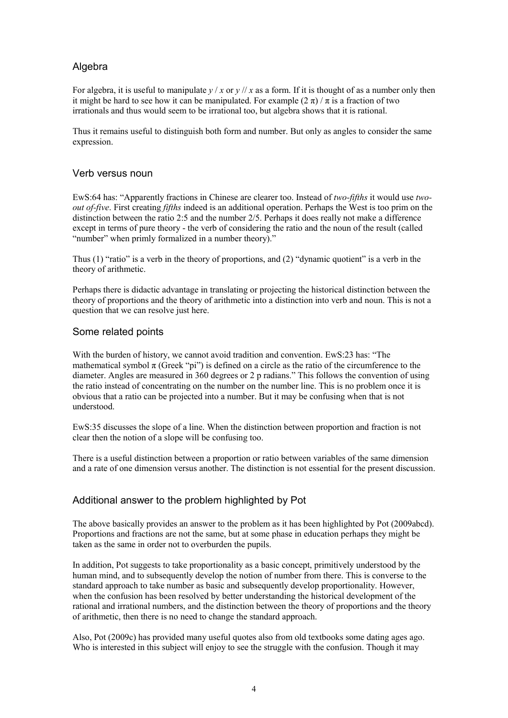# Algebra

For algebra, it is useful to manipulate  $y / x$  or  $y / x$  as a form. If it is thought of as a number only then it might be hard to see how it can be manipulated. For example  $(2 \pi) / \pi$  is a fraction of two irrationals and thus would seem to be irrational too, but algebra shows that it is rational.

Thus it remains useful to distinguish both form and number. But only as angles to consider the same expression.

### Verb versus noun

EwS:64 has: "Apparently fractions in Chinese are clearer too. Instead of *two-fifths* it would use *twoout of-five*. First creating *fifths* indeed is an additional operation. Perhaps the West is too prim on the distinction between the ratio 2:5 and the number 2/5. Perhaps it does really not make a difference except in terms of pure theory - the verb of considering the ratio and the noun of the result (called "number" when primly formalized in a number theory)."

Thus (1) "ratio" is a verb in the theory of proportions, and (2) "dynamic quotient" is a verb in the theory of arithmetic.

Perhaps there is didactic advantage in translating or projecting the historical distinction between the theory of proportions and the theory of arithmetic into a distinction into verb and noun. This is not a question that we can resolve just here.

### Some related points

With the burden of history, we cannot avoid tradition and convention. EwS:23 has: "The mathematical symbol  $\pi$  (Greek "pi") is defined on a circle as the ratio of the circumference to the diameter. Angles are measured in 360 degrees or 2 p radians." This follows the convention of using the ratio instead of concentrating on the number on the number line. This is no problem once it is obvious that a ratio can be projected into a number. But it may be confusing when that is not understood.

EwS:35 discusses the slope of a line. When the distinction between proportion and fraction is not clear then the notion of a slope will be confusing too.

There is a useful distinction between a proportion or ratio between variables of the same dimension and a rate of one dimension versus another. The distinction is not essential for the present discussion.

# Additional answer to the problem highlighted by Pot

The above basically provides an answer to the problem as it has been highlighted by Pot (2009abcd). Proportions and fractions are not the same, but at some phase in education perhaps they might be taken as the same in order not to overburden the pupils.

In addition, Pot suggests to take proportionality as a basic concept, primitively understood by the human mind, and to subsequently develop the notion of number from there. This is converse to the standard approach to take number as basic and subsequently develop proportionality. However, when the confusion has been resolved by better understanding the historical development of the rational and irrational numbers, and the distinction between the theory of proportions and the theory of arithmetic, then there is no need to change the standard approach.

Also, Pot (2009c) has provided many useful quotes also from old textbooks some dating ages ago. Who is interested in this subject will enjoy to see the struggle with the confusion. Though it may